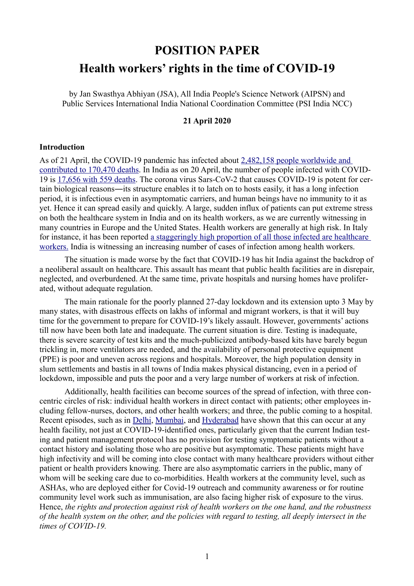# **POSITION PAPER Health workers' rights in the time of COVID-19**

by Jan Swasthya Abhiyan (JSA), All India People's Science Network (AIPSN) and Public Services International India National Coordination Committee (PSI India NCC)

#### **21 April 2020**

#### **Introduction**

As of 21 April, the COVID-19 pandemic has infected about [2,482,158 people worldwide and](https://www.worldometers.info/coronavirus/)   [contributed to 170,470 deaths.](https://www.worldometers.info/coronavirus/) In India as on 20 April, the number of people infected with COVID-19 is [17,656 with 559 deaths.](https://www.mohfw.gov.in/) The corona virus Sars-CoV-2 that causes COVID-19 is potent for certain biological reasons―its structure enables it to latch on to hosts easily, it has a long infection period, it is infectious even in asymptomatic carriers, and human beings have no immunity to it as yet. Hence it can spread easily and quickly. A large, sudden influx of patients can put extreme stress on both the healthcare system in India and on its health workers, as we are currently witnessing in many countries in Europe and the United States. Health workers are generally at high risk. In Italy for instance, it has been reported [a staggeringly high proportion of all those infected are healthcare](https://www.thelancet.com/journals/lancet/article/PIIS0140-6736(20)30627-9/fulltext)  [workers.](https://www.thelancet.com/journals/lancet/article/PIIS0140-6736(20)30627-9/fulltext) India is witnessing an increasing number of cases of infection among health workers.

The situation is made worse by the fact that COVID-19 has hit India against the backdrop of a neoliberal assault on healthcare. This assault has meant that public health facilities are in disrepair, neglected, and overburdened. At the same time, private hospitals and nursing homes have proliferated, without adequate regulation.

The main rationale for the poorly planned 27-day lockdown and its extension upto 3 May by many states, with disastrous effects on lakhs of informal and migrant workers, is that it will buy time for the government to prepare for COVID-19's likely assault. However, governments' actions till now have been both late and inadequate. The current situation is dire. Testing is inadequate, there is severe scarcity of test kits and the much-publicized antibody-based kits have barely begun trickling in, more ventilators are needed, and the availability of personal protective equipment (PPE) is poor and uneven across regions and hospitals. Moreover, the high population density in slum settlements and bastis in all towns of India makes physical distancing, even in a period of lockdown, impossible and puts the poor and a very large number of workers at risk of infection.

Additionally, health facilities can become sources of the spread of infection, with three concentric circles of risk: individual health workers in direct contact with patients; other employees including fellow-nurses, doctors, and other health workers; and three, the public coming to a hospital. Recent episodes, such as in [Delhi, Mumbai,](https://www.businesstoday.in/latest/trends/coronavirus-delhi-state-cancer-institute-temporarily-shut-down-after-18-staff-members-test-positive/story/400357.html) and [Hyderabad](https://www.deccanchronicle.com/nation/current-affairs/310320/telangana-docs-go-on-silent-boycott-after-child-tests-positive-at-nilo.html) have shown that this can occur at any health facility, not just at COVID-19-identified ones, particularly given that the current Indian testing and patient management protocol has no provision for testing symptomatic patients without a contact history and isolating those who are positive but asymptomatic. These patients might have high infectivity and will be coming into close contact with many healthcare providers without either patient or health providers knowing. There are also asymptomatic carriers in the public, many of whom will be seeking care due to co-morbidities. Health workers at the community level, such as ASHAs, who are deployed either for Covid-19 outreach and community awareness or for routine community level work such as immunisation, are also facing higher risk of exposure to the virus. Hence, *the rights and protection against risk of health workers on the one hand, and the robustness of the health system on the other, and the policies with regard to testing, all deeply intersect in the times of COVID-19.*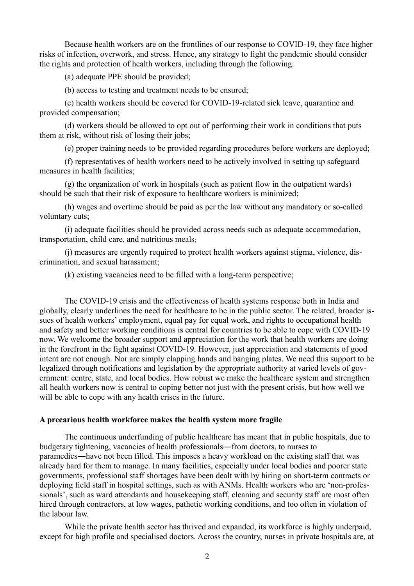Because health workers are on the frontlines of our response to COVID-19, they face higher risks of infection, overwork, and stress. Hence, any strategy to fight the pandemic should consider the rights and protection of health workers, including through the following:

(a) adequate PPE should be provided;

(b) access to testing and treatment needs to be ensured;

(c) health workers should be covered for COVID-19-related sick leave, quarantine and provided compensation;

(d) workers should be allowed to opt out of performing their work in conditions that puts them at risk, without risk of losing their jobs;

(e) proper training needs to be provided regarding procedures before workers are deployed;

(f) representatives of health workers need to be actively involved in setting up safeguard measures in health facilities;

(g) the organization of work in hospitals (such as patient flow in the outpatient wards) should be such that their risk of exposure to healthcare workers is minimized;

(h) wages and overtime should be paid as per the law without any mandatory or so-called voluntary cuts;

(i) adequate facilities should be provided across needs such as adequate accommodation, transportation, child care, and nutritious meals;

(j) measures are urgently required to protect health workers against stigma, violence, discrimination, and sexual harassment;

(k) existing vacancies need to be filled with a long-term perspective;

The COVID-19 crisis and the effectiveness of health systems response both in India and globally, clearly underlines the need for healthcare to be in the public sector. The related, broader issues of health workers' employment, equal pay for equal work, and rights to occupational health and safety and better working conditions is central for countries to be able to cope with COVID-19 now. We welcome the broader support and appreciation for the work that health workers are doing in the forefront in the fight against COVID-19. However, just appreciation and statements of good intent are not enough. Nor are simply clapping hands and banging plates. We need this support to be legalized through notifications and legislation by the appropriate authority at varied levels of government: centre, state, and local bodies. How robust we make the healthcare system and strengthen all health workers now is central to coping better not just with the present crisis, but how well we will be able to cope with any health crises in the future.

#### **A precarious health workforce makes the health system more fragile**

The continuous underfunding of public healthcare has meant that in public hospitals, due to budgetary tightening, vacancies of health professionals―from doctors, to nurses to paramedics―have not been filled. This imposes a heavy workload on the existing staff that was already hard for them to manage. In many facilities, especially under local bodies and poorer state governments, professional staff shortages have been dealt with by hiring on short-term contracts or deploying field staff in hospital settings, such as with ANMs. Health workers who are 'non-professionals', such as ward attendants and housekeeping staff, cleaning and security staff are most often hired through contractors, at low wages, pathetic working conditions, and too often in violation of the labour law.

While the private health sector has thrived and expanded, its workforce is highly underpaid, except for high profile and specialised doctors. Across the country, nurses in private hospitals are, at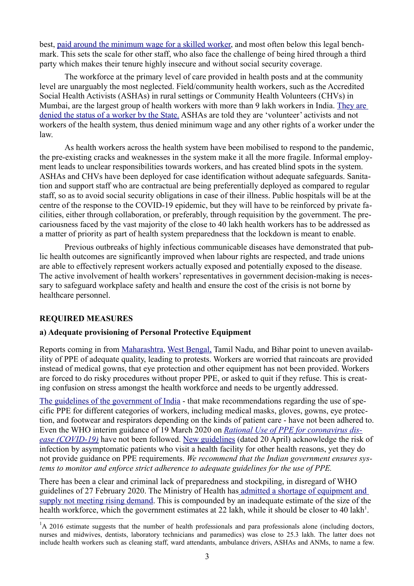best, [paid around the minimum wage for a skilled worker,](https://timesofindia.indiatimes.com/city/delhi/nurses-make-less-than-your-plumber/articleshow/72374665.cms) and most often below this legal benchmark. This sets the scale for other staff, who also face the challenge of being hired through a third party which makes their tenure highly insecure and without social security coverage.

The workforce at the primary level of care provided in health posts and at the community level are unarguably the most neglected. Field/community health workers, such as the Accredited Social Health Activists (ASHAs) in rural settings or Community Health Volunteers (CHVs) in Mumbai, are the largest group of health workers with more than 9 lakh workers in India. [They are](https://www.hrkatha.com/protests-and-strikes/centre-has-no-plans-to-fulfill-asha-workers-demands/)  [denied the status of a worker by the State.](https://www.hrkatha.com/protests-and-strikes/centre-has-no-plans-to-fulfill-asha-workers-demands/) ASHAs are told they are 'volunteer' activists and not workers of the health system, thus denied minimum wage and any other rights of a worker under the law.

As health workers across the health system have been mobilised to respond to the pandemic, the pre-existing cracks and weaknesses in the system make it all the more fragile. Informal employment leads to unclear responsibilities towards workers, and has created blind spots in the system. ASHAs and CHVs have been deployed for case identification without adequate safeguards. Sanitation and support staff who are contractual are being preferentially deployed as compared to regular staff, so as to avoid social security obligations in case of their illness. Public hospitals will be at the centre of the response to the COVID-19 epidemic, but they will have to be reinforced by private facilities, either through collaboration, or preferably, through requisition by the government. The precariousness faced by the vast majority of the close to 40 lakh health workers has to be addressed as a matter of priority as part of health system preparedness that the lockdown is meant to enable.

Previous outbreaks of highly infectious communicable diseases have demonstrated that public health outcomes are significantly improved when labour rights are respected, and trade unions are able to effectively represent workers actually exposed and potentially exposed to the disease. The active involvement of health workers' representatives in government decision-making is necessary to safeguard workplace safety and health and ensure the cost of the crisis is not borne by healthcare personnel.

## **REQUIRED MEASURES**

## **a) Adequate provisioning of Personal Protective Equipment**

Reports coming in from [Maharashtra,](https://timesofindia.indiatimes.com/city/mumbai/medical-staff-at-mumbai-hospital-protest-over-ppe-quality/articleshow/75043229.cms) [West Bengal,](https://www.indiatoday.in/india/story/coronavirus-medical-staff-protest-in-west-bengal-claim-supply-of-low-quality-protection-equipment-1661563-2020-03-31) Tamil Nadu, and Bihar point to uneven availability of PPE of adequate quality, leading to protests. Workers are worried that raincoats are provided instead of medical gowns, that eye protection and other equipment has not been provided. Workers are forced to do risky procedures without proper PPE, or asked to quit if they refuse. This is creating confusion on stress amongst the health workforce and needs to be urgently addressed.

[The guidelines of the government of India](https://www.google.com/url?sa=t&rct=j&q=&esrc=s&source=web&cd=5&cad=rja&uact=8&ved=2ahUKEwiz_dDpwffoAhWRzzgGHSd-AAIQFjAEegQIBhAB&url=https://www.mohfw.gov.in/pdf/GuidelinesonrationaluseofPersonalProtectiveEquipment.pdf&usg=AOvVaw3EdMY_uB2dz11E5Kxfgi8r) - that make recommendations regarding the use of specific PPE for different categories of workers, including medical masks, gloves, gowns, eye protection, and footwear and respirators depending on the kinds of patient care - have not been adhered to. Even the WHO interim guidance of 19 March 2020 on *[Rational Use of PPE for coronavirus dis](https://apps.who.int/iris/bitstream/handle/10665/331498/WHO-2019-nCoV-IPCPPE_use-2020.2-eng.pdf)[ease \(COVID-19\)](https://apps.who.int/iris/bitstream/handle/10665/331498/WHO-2019-nCoV-IPCPPE_use-2020.2-eng.pdf)* have not been followed. New guidelines (dated 20 April) acknowledge the risk of infection by asymptomatic patients who visit a health facility for other health reasons, yet they do not provide guidance on PPE requirements. *We recommend that the Indian government ensures systems to monitor and enforce strict adherence to adequate guidelines for the use of PPE.*

There has been a clear and criminal lack of preparedness and stockpiling, in disregard of WHO guidelines of 27 February 2020. The Ministry of Health ha[s admitted a shortage of equipment and](https://www.theweek.in/news/india/2020/03/28/centre-trying-to-procure-10-lakh-personal-protective-equipment-v.html)  [supply not meeting rising demand.](https://www.theweek.in/news/india/2020/03/28/centre-trying-to-procure-10-lakh-personal-protective-equipment-v.html) This is compounded by an inadequate estimate of the size of the health workforce, which the government estimates at 22 lakh, while it should be closer to 40 lakh<sup>[1](#page-2-0)</sup>.

<span id="page-2-0"></span> ${}^{1}$ A 2016 estimate suggests that the number of health professionals and para professionals alone (including doctors, nurses and midwives, dentists, laboratory technicians and paramedics) was close to 25.3 lakh. The latter does not include health workers such as cleaning staff, ward attendants, ambulance drivers, ASHAs and ANMs, to name a few.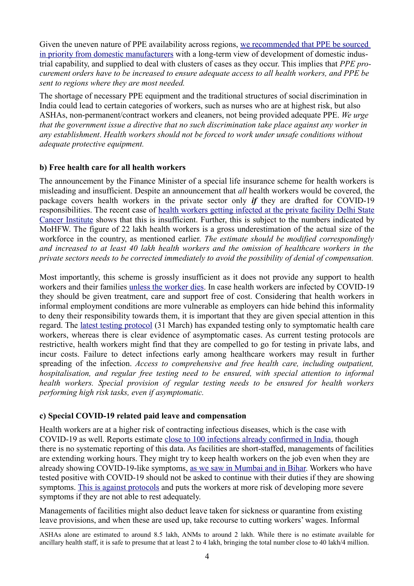Given the uneven nature of PPE availability across regions, we recommended that PPE be sourced [in priority from domestic manufacturers](http://phmindia.org/2020/04/03/statement-on-the-personal-protection-equipment-for-healthcare-workers-during-covid19-pandemic/) with a long-term view of development of domestic industrial capability, and supplied to deal with clusters of cases as they occur. This implies that *PPE procurement orders have to be increased to ensure adequate access to all health workers, and PPE be sent to regions where they are most needed.*

The shortage of necessary PPE equipment and the traditional structures of social discrimination in India could lead to certain categories of workers, such as nurses who are at highest risk, but also ASHAs, non-permanent/contract workers and cleaners, not being provided adequate PPE. *We urge that the government issue a directive that no such discrimination take place against any worker in any establishment*. *Health workers should not be forced to work under unsafe conditions without adequate protective equipment.* 

## **b) Free health care for all health workers**

The announcement by the Finance Minister of a special life insurance scheme for health workers is misleading and insufficient. Despite an announcement that *all* health workers would be covered, the package covers health workers in the private sector only *if* they are drafted for COVID-19 responsibilities. The recent case of [health workers getting infected at the private facility Delhi State](https://www.ndtv.com/delhi-news/coronavirus-another-doctor-11-nurses-test-coronavirus-at-locked-down-delhi-hospital-2207251) [Cancer Institute](https://www.ndtv.com/delhi-news/coronavirus-another-doctor-11-nurses-test-coronavirus-at-locked-down-delhi-hospital-2207251) shows that this is insufficient. Further, this is subject to the numbers indicated by MoHFW. The figure of 22 lakh health workers is a gross underestimation of the actual size of the workforce in the country, as mentioned earlier. *The estimate should be modified correspondingly and increased to at least 40 lakh health workers and the omission of healthcare workers in the private sectors needs to be corrected immediately to avoid the possibility of denial of compensation.*

Most importantly, this scheme is grossly insufficient as it does not provide any support to health workers and their families [unless the worker dies.](https://scroll.in/article/958206/indian-health-workers-would-have-to-die-before-their-families-get-coronavirus-insurance-funds) In case health workers are infected by COVID-19 they should be given treatment, care and support free of cost. Considering that health workers in informal employment conditions are more vulnerable as employers can hide behind this informality to deny their responsibility towards them, it is important that they are given special attention in this regard. The [latest testing protocol](https://www.google.com/url?sa=t&rct=j&q=&esrc=s&source=web&cd=3&cad=rja&uact=8&ved=2ahUKEwi06dD7xvfoAhWUzjgGHaHoAwEQFjACegQIARAB&url=https://www.mohfw.gov.in/pdf/RevisedNationalClinicalManagementGuidelineforCOVID1931032020.pdf&usg=AOvVaw0bl_BSJtFuVZ4vR1zNrCc9) (31 March) has expanded testing only to symptomatic health care workers, whereas there is clear evidence of asymptomatic cases. As current testing protocols are restrictive, health workers might find that they are compelled to go for testing in private labs, and incur costs. Failure to detect infections early among healthcare workers may result in further spreading of the infection. *Access to comprehensive and free health care, including outpatient, hospitalisation, and regular free testing need to be ensured, with special attention to informal health workers. Special provision of regular testing needs to be ensured for health workers performing high risk tasks, even if asymptomatic.*

## **c) Special COVID-19 related paid leave and compensation**

Health workers are at a higher risk of contracting infectious diseases, which is the case with COVID-19 as well. Reports estimate [close to 100 infections already confirmed in India,](https://www.ndtv.com/india-news/coronavirus-india-coronavirus-cases-in-india-cross-8-000-mark-34-dead-in-24-hours-2210282) though there is no systematic reporting of this data. As facilities are short-staffed, managements of facilities are extending working hours. They might try to keep health workers on the job even when they are already showing COVID-19-like symptoms, [as we saw in Mumbai](https://www.hindustantimes.com/india-news/mumbai-s-wockhardt-hospital-declared-containment-zone-after-nurses-doctors-test-positive-for-covid-19/story-a3JpRK4WiMyf8TMeymNlCK.html) [and in Bihar.](https://caravanmagazine.in/health/bihar-junior-doctors-forced-to-continue-treating-coronavirus-patients-despite-showing-symptoms) Workers who have tested positive with COVID-19 should not be asked to continue with their duties if they are showing symptoms. [This is against protocols](https://www.google.com/url?sa=t&rct=j&q=&esrc=s&source=web&cd=3&cad=rja&uact=8&ved=2ahUKEwi9yOq1qvnoAhUuzjgGHZgHABQQFjACegQIAxAB&url=https://www.mohfw.gov.in/pdf/GuidelinestobefollowedondetectionofsuspectorconfirmedCOVID19case.pdf&usg=AOvVaw0dwfRNLOCC28ZZsmkTSMWv) and puts the workers at more risk of developing more severe symptoms if they are not able to rest adequately.

Managements of facilities might also deduct leave taken for sickness or quarantine from existing leave provisions, and when these are used up, take recourse to cutting workers' wages. Informal

ASHAs alone are estimated to around 8.5 lakh, ANMs to around 2 lakh. While there is no estimate available for ancillary health staff, it is safe to presume that at least 2 to 4 lakh, bringing the total number close to 40 lakh/4 million.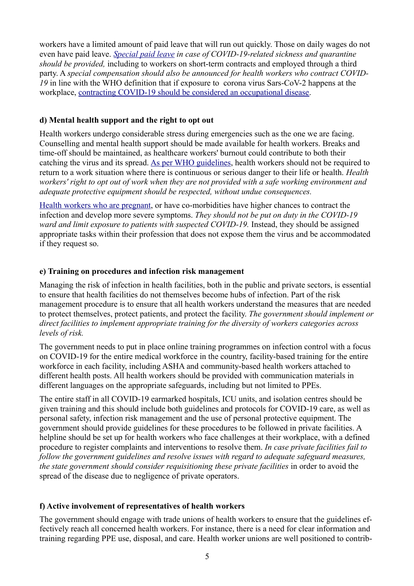workers have a limited amount of paid leave that will run out quickly. Those on daily wages do not even have paid leave. *[Special paid leave](https://economictimes.indiatimes.com/jobs/special-leave-to-ensure-isolation-doesnt-hit-pay/articleshow/74681435.cms?from=mdr) in case of COVID-19-related sickness and quarantine should be provided,* including to workers on short-term contracts and employed through a third party. A *special compensation should also be announced for health workers who contract COVID-19* in line with the WHO definition that if exposure to corona virus Sars-CoV-2 happens at the workplace, [contracting COVID-19 should be considered an occupational disease.](https://www.who.int/publications-detail/coronavirus-disease-(covid-19)-outbreak-rights-roles-and-responsibilities-of-health-workers-including-key-considerations-for-occupational-safety-and-health)

# **d) Mental health support and the right to opt out**

Health workers undergo considerable stress during emergencies such as the one we are facing. Counselling and mental health support should be made available for health workers. Breaks and time-off should be maintained, as healthcare workers' burnout could contribute to both their catching the virus and its spread. [As per WHO guidelines,](https://www.who.int/publications-detail/coronavirus-disease-(covid-19)-outbreak-rights-roles-and-responsibilities-of-health-workers-including-key-considerations-for-occupational-safety-and-health) health workers should not be required to return to a work situation where there is continuous or serious danger to their life or health. *Health workers' right to opt out of work when they are not provided with a safe working environment and adequate protective equipment should be respected, without undue consequences.*

[Health workers who are pregnant,](https://www.vumc.org/coronavirus/coronavirus-covid-19-guidance-pregnant-workers) or have co-morbidities have higher chances to contract the infection and develop more severe symptoms. *They should not be put on duty in the COVID-19 ward and limit exposure to patients with suspected COVID-19.* Instead, they should be assigned appropriate tasks within their profession that does not expose them the virus and be accommodated if they request so.

# **e) Training on procedures and infection risk management**

Managing the risk of infection in health facilities, both in the public and private sectors, is essential to ensure that health facilities do not themselves become hubs of infection. Part of the risk management procedure is to ensure that all health workers understand the measures that are needed to protect themselves, protect patients, and protect the facility. *The government should implement or direct facilities to implement appropriate training for the diversity of workers categories across levels of risk.*

The government needs to put in place online training programmes on infection control with a focus on COVID-19 for the entire medical workforce in the country, facility-based training for the entire workforce in each facility, including ASHA and community-based health workers attached to different health posts. All health workers should be provided with communication materials in different languages on the appropriate safeguards, including but not limited to PPEs.

The entire staff in all COVID-19 earmarked hospitals, ICU units, and isolation centres should be given training and this should include both guidelines and protocols for COVID-19 care, as well as personal safety, infection risk management and the use of personal protective equipment. The government should provide guidelines for these procedures to be followed in private facilities. A helpline should be set up for health workers who face challenges at their workplace, with a defined procedure to register complaints and interventions to resolve them. *In case private facilities fail to follow the government guidelines and resolve issues with regard to adequate safeguard measures, the state government should consider requisitioning these private facilities* in order to avoid the spread of the disease due to negligence of private operators.

# **f) Active involvement of representatives of health workers**

The government should engage with trade unions of health workers to ensure that the guidelines effectively reach all concerned health workers. For instance, there is a need for clear information and training regarding PPE use, disposal, and care. Health worker unions are well positioned to contrib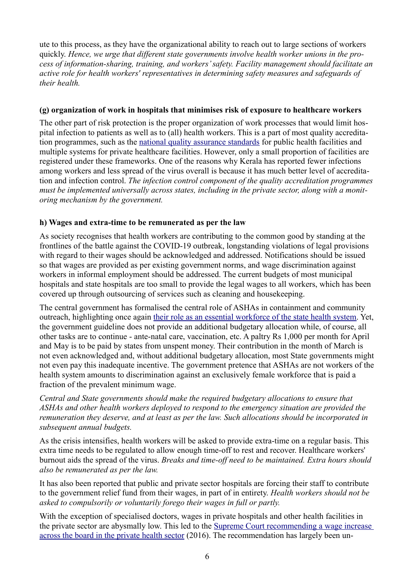ute to this process, as they have the organizational ability to reach out to large sections of workers quickly. *Hence, we urge that different state governments involve health worker unions in the process of information-sharing, training, and workers' safety. Facility management should facilitate an active role for health workers' representatives in determining safety measures and safeguards of their health.*

#### **(g) organization of work in hospitals that minimises risk of exposure to healthcare workers**

The other part of risk protection is the proper organization of work processes that would limit hospital infection to patients as well as to (all) health workers. This is a part of most quality accreditation programmes, such as the [national quality assurance standards](http://qi.nhsrcindia.org/national-quality-assurance-standards) for public health facilities and multiple systems for private healthcare facilities. However, only a small proportion of facilities are registered under these frameworks. One of the reasons why Kerala has reported fewer infections among workers and less spread of the virus overall is because it has much better level of accreditation and infection control. *The infection control component of the quality accreditation programmes must be implemented universally across states, including in the private sector, along with a monitoring mechanism by the government.*

# **h) Wages and extra-time to be remunerated as per the law**

As society recognises that health workers are contributing to the common good by standing at the frontlines of the battle against the COVID-19 outbreak, longstanding violations of legal provisions with regard to their wages should be acknowledged and addressed. Notifications should be issued so that wages are provided as per existing government norms, and wage discrimination against workers in informal employment should be addressed. The current budgets of most municipal hospitals and state hospitals are too small to provide the legal wages to all workers, which has been covered up through outsourcing of services such as cleaning and housekeeping.

The central government has formalised the central role of ASHAs in containment and community outreach, highlighting once again [their role as an essential workforce of the state health system.](https://delhipostnews.com/covid-19-in-india-immense-role-for-healthcare-field-workers/) Yet, the government guideline does not provide an additional budgetary allocation while, of course, all other tasks are to continue - ante-natal care, vaccination, etc. A paltry Rs 1,000 per month for April and May is to be paid by states from unspent money. Their contribution in the month of March is not even acknowledged and, without additional budgetary allocation, most State governments might not even pay this inadequate incentive. The government pretence that ASHAs are not workers of the health system amounts to discrimination against an exclusively female workforce that is paid a fraction of the prevalent minimum wage.

*Central and State governments should make the required budgetary allocations to ensure that ASHAs and other health workers deployed to respond to the emergency situation are provided the remuneration they deserve, and at least as per the law. Such allocations should be incorporated in subsequent annual budgets.*

As the crisis intensifies, health workers will be asked to provide extra-time on a regular basis. This extra time needs to be regulated to allow enough time-off to rest and recover. Healthcare workers' burnout aids the spread of the virus. *Breaks and time-off need to be maintained. Extra hours should also be remunerated as per the law.*

It has also been reported that public and private sector hospitals are forcing their staff to contribute to the government relief fund from their wages, in part of in entirety. *Health workers should not be asked to compulsorily or voluntarily forego their wages in full or partly.* 

With the exception of specialised doctors, wages in private hospitals and other health facilities in the private sector are abysmally low. This led to the [Supreme Court recommending a wage increase](https://biblehr.com/private-hospital-nurses-to-get-salary-as-similar-to-government-nurses/)  [across the board in the private health sector](https://biblehr.com/private-hospital-nurses-to-get-salary-as-similar-to-government-nurses/) (2016). The recommendation has largely been un-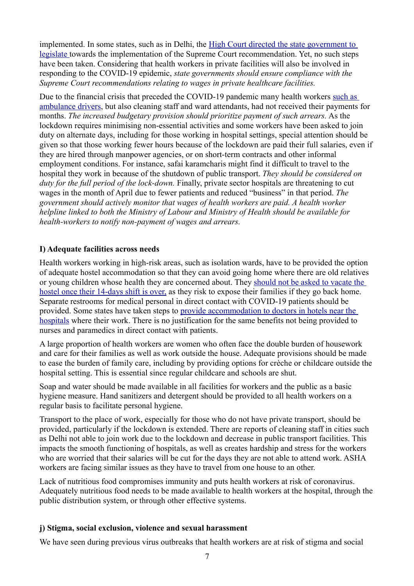implemented. In some states, such as in Delhi, the [High Court directed the state government to](https://www.livemint.com/news/india/hc-directs-delhi-govt-to-implement-sc-order-on-minimum-wage-for-nurses-1564749850533.html)  [legislate t](https://www.livemint.com/news/india/hc-directs-delhi-govt-to-implement-sc-order-on-minimum-wage-for-nurses-1564749850533.html)owards the implementation of the Supreme Court recommendation. Yet, no such steps have been taken. Considering that health workers in private facilities will also be involved in responding to the COVID-19 epidemic, *state governments should ensure compliance with the Supreme Court recommendations relating to wages in private healthcare facilities.*

Due to the financial crisis that preceded the COVID-19 pandemic many health workers [such as](https://www.indiatoday.in/india/story/ambulance-employees-in-up-call-off-strike-1662131-2020-04-01)  [ambulance drivers,](https://www.indiatoday.in/india/story/ambulance-employees-in-up-call-off-strike-1662131-2020-04-01) but also cleaning staff and ward attendants, had not received their payments for months. *The increased budgetary provision should prioritize payment of such arrears.* As the lockdown requires minimising non-essential activities and some workers have been asked to join duty on alternate days, including for those working in hospital settings, special attention should be given so that those working fewer hours because of the lockdown are paid their full salaries, even if they are hired through manpower agencies, or on short-term contracts and other informal employment conditions. For instance, safai karamcharis might find it difficult to travel to the hospital they work in because of the shutdown of public transport. *They should be considered on duty for the full period of the lock-down.* Finally, private sector hospitals are threatening to cut wages in the month of April due to fewer patients and reduced "business" in that period. *The government should actively monitor that wages of health workers are paid. A health worker helpline linked to both the Ministry of Labour and Ministry of Health should be available for health-workers to notify non-payment of wages and arrears.*

### **I) Adequate facilities across needs**

Health workers working in high-risk areas, such as isolation wards, have to be provided the option of adequate hostel accommodation so that they can avoid going home where there are old relatives or young children whose health they are concerned about. They [should not be asked to vacate the](https://twitter.com/inayat_s_kakar/status/1251952549403516930/photo/1)  [hostel once their 14-days shift is over,](https://twitter.com/inayat_s_kakar/status/1251952549403516930/photo/1) as they risk to expose their families if they go back home. Separate restrooms for medical personal in direct contact with COVID-19 patients should be provided. Some states have taken steps to [provide accommodation to doctors in hotels near the](https://www.thehindu.com/news/cities/Delhi/dormitories-hostels-and-shared-bathrooms-for-nurses-on-covid-19-duty/article31293511.ece)  [hospitals](https://www.thehindu.com/news/cities/Delhi/dormitories-hostels-and-shared-bathrooms-for-nurses-on-covid-19-duty/article31293511.ece) where their work. There is no justification for the same benefits not being provided to nurses and paramedics in direct contact with patients.

A large proportion of health workers are women who often face the double burden of housework and care for their families as well as work outside the house. Adequate provisions should be made to ease the burden of family care, including by providing options for crèche or childcare outside the hospital setting. This is essential since regular childcare and schools are shut.

Soap and water should be made available in all facilities for workers and the public as a basic hygiene measure. Hand sanitizers and detergent should be provided to all health workers on a regular basis to facilitate personal hygiene.

Transport to the place of work, especially for those who do not have private transport, should be provided, particularly if the lockdown is extended. There are reports of cleaning staff in cities such as Delhi not able to join work due to the lockdown and decrease in public transport facilities. This impacts the smooth functioning of hospitals, as well as creates hardship and stress for the workers who are worried that their salaries will be cut for the days they are not able to attend work. ASHA workers are facing similar issues as they have to travel from one house to an other.

Lack of nutritious food compromises immunity and puts health workers at risk of coronavirus. Adequately nutritious food needs to be made available to health workers at the hospital, through the public distribution system, or through other effective systems.

#### **j) Stigma, social exclusion, violence and sexual harassment**

We have seen during previous virus outbreaks that health workers are at risk of stigma and social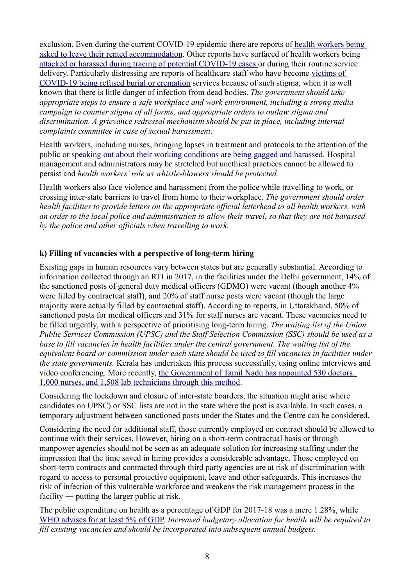exclusion. Even during the current COVID-19 epidemic there are reports o[f health workers being](https://www.thehindu.com/news/national/telangana/for-paranoid-house-owners-doctors-are-persona-non-grata/article31155165.ece)  [asked to leave their rented accommodation.](https://www.thehindu.com/news/national/telangana/for-paranoid-house-owners-doctors-are-persona-non-grata/article31155165.ece) Other reports have surfaced of health workers being [attacked or harassed during tracing of potential COVID-19 cases o](https://www.indiatoday.in/movies/celebrities/story/farhan-hema-condemn-attack-on-indore-healthcare-workers-let-them-do-their-jobs-without-fear-1662831-2020-04-03)r during their routine service delivery. Particularly distressing are reports of healthcare staff who have become [victims of](https://www.deccanherald.com/national/west/coronavirus-muslim-covid-19-victim-denied-burial-cremated-in-mumbai-820415.html)  [COVID-19 being refused burial or cremation](https://www.deccanherald.com/national/west/coronavirus-muslim-covid-19-victim-denied-burial-cremated-in-mumbai-820415.html) services because of such stigma, when it is well known that there is little danger of infection from dead bodies. *The government should take appropriate steps to ensure a safe workplace and work environment, including a strong media campaign to counter stigma of all forms, and appropriate orders to outlaw stigma and discrimination. A grievance redressal mechanism should be put in place, including internal complaints committee in case of sexual harassment.*

Health workers, including nurses, bringing lapses in treatment and protocols to the attention of the public or [speaking out about their working conditions are being gagged and harassed.](https://www.aljazeera.com/news/2020/04/indian-doctors-face-censorship-attacks-fight-coronavirus-200410063124519.html) Hospital management and administrators may be stretched but unethical practices cannot be allowed to persist and *health workers' role as whistle-blowers should be protected.*

Health workers also face violence and harassment from the police while travelling to work, or crossing inter-state barriers to travel from home to their workplace. *The government should order health facilities to provide letters on the appropriate official letterhead to all health workers, with an order to the local police and administration to allow their travel, so that they are not harassed by the police and other officials when travelling to work.*

# **k) Filling of vacancies with a perspective of long-term hiring**

Existing gaps in human resources vary between states but are generally substantial. According to information collected through an RTI in 2017, in the facilities under the Delhi government, 14% of the sanctioned posts of general duty medical officers (GDMO) were vacant (though another 4% were filled by contractual staff), and 20% of staff nurse posts were vacant (though the large majority were actually filled by contractual staff). According to reports, in Uttarakhand, 50% of sanctioned posts for medical officers and 31% for staff nurses are vacant. These vacancies need to be filled urgently, with a perspective of prioritising long-term hiring. *The waiting list of the Union Public Services Commission (UPSC) and the Staff Selection Commission (SSC) should be used as a base to fill vacancies in health facilities under the central government. The waiting list of the equivalent board or commission under each state should be used to fill vacancies in facilities under the state governments.* Kerala has undertaken this process successfully, using online interviews and video conferencing. More recently, the Government of Tamil Nadu has appointed 530 doctors, [1,000 nurses, and 1,508 lab technicians through this method.](https://www.dtnext.in/News/TamilNadu/2020/03/27154231/1222050/TN-appoints-530-doctors-1000-nurses-and-1508-lab-technicians.vpf)

Considering the lockdown and closure of inter-state boarders, the situation might arise where candidates on UPSC) or SSC lists are not in the state where the post is available. In such cases, a temporary adjustment between sanctioned posts under the States and the Centre can be considered.

Considering the need for additional staff, those currently employed on contract should be allowed to continue with their services. However, hiring on a short-term contractual basis or through manpower agencies should not be seen as an adequate solution for increasing staffing under the impression that the time saved in hiring provides a considerable advantage. Those employed on short-term contracts and contracted through third party agencies are at risk of discrimination with regard to access to personal protective equipment, leave and other safeguards. This increases the risk of infection of this vulnerable workforce and weakens the risk management process in the facility ― putting the larger public at risk.

The public expenditure on health as a percentage of GDP for 2017-18 was a mere 1.28%, while [WHO advises for at least 5% of GDP.](https://www.who.int/publications-detail/global-strategy-for-health-for-all-by-2000) *Increased budgetary allocation for health will be required to fill existing vacancies and should be incorporated into subsequent annual budgets.*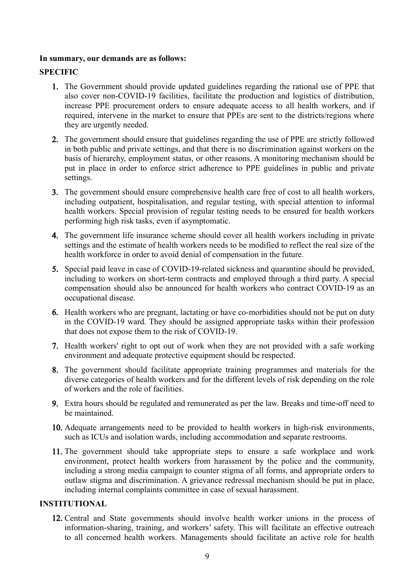#### **In summary, our demands are as follows:**

# **SPECIFIC**

- 1. The Government should provide updated guidelines regarding the rational use of PPE that also cover non-COVID-19 facilities, facilitate the production and logistics of distribution, increase PPE procurement orders to ensure adequate access to all health workers, and if required, intervene in the market to ensure that PPEs are sent to the districts/regions where they are urgently needed.
- 2. The government should ensure that guidelines regarding the use of PPE are strictly followed in both public and private settings, and that there is no discrimination against workers on the basis of hierarchy, employment status, or other reasons. A monitoring mechanism should be put in place in order to enforce strict adherence to PPE guidelines in public and private settings.
- 3. The government should ensure comprehensive health care free of cost to all health workers, including outpatient, hospitalisation, and regular testing, with special attention to informal health workers. Special provision of regular testing needs to be ensured for health workers performing high risk tasks, even if asymptomatic.
- 4. The government life insurance scheme should cover all health workers including in private settings and the estimate of health workers needs to be modified to reflect the real size of the health workforce in order to avoid denial of compensation in the future.
- 5. Special paid leave in case of COVID-19-related sickness and quarantine should be provided, including to workers on short-term contracts and employed through a third party. A special compensation should also be announced for health workers who contract COVID-19 as an occupational disease.
- 6. Health workers who are pregnant, lactating or have co-morbidities should not be put on duty in the COVID-19 ward. They should be assigned appropriate tasks within their profession that does not expose them to the risk of COVID-19.
- 7. Health workers' right to opt out of work when they are not provided with a safe working environment and adequate protective equipment should be respected.
- 8. The government should facilitate appropriate training programmes and materials for the diverse categories of health workers and for the different levels of risk depending on the role of workers and the role of facilities.
- 9. Extra hours should be regulated and remunerated as per the law. Breaks and time-off need to be maintained.
- 10. Adequate arrangements need to be provided to health workers in high-risk environments, such as ICUs and isolation wards, including accommodation and separate restrooms.
- 11. The government should take appropriate steps to ensure a safe workplace and work environment, protect health workers from harassment by the police and the community, including a strong media campaign to counter stigma of all forms, and appropriate orders to outlaw stigma and discrimination. A grievance redressal mechanism should be put in place, including internal complaints committee in case of sexual harassment.

## **INSTITUTIONAL**

12. Central and State governments should involve health worker unions in the process of information-sharing, training, and workers' safety. This will facilitate an effective outreach to all concerned health workers. Managements should facilitate an active role for health